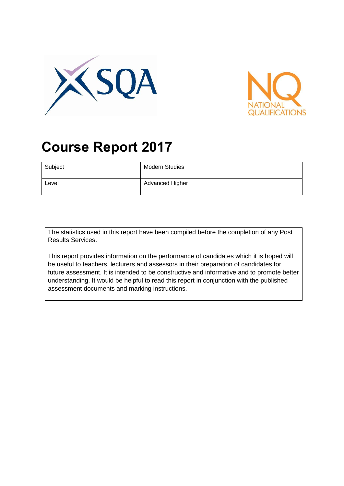



# **Course Report 2017**

| Subject | Modern Studies  |
|---------|-----------------|
| Level   | Advanced Higher |

The statistics used in this report have been compiled before the completion of any Post Results Services.

This report provides information on the performance of candidates which it is hoped will be useful to teachers, lecturers and assessors in their preparation of candidates for future assessment. It is intended to be constructive and informative and to promote better understanding. It would be helpful to read this report in conjunction with the published assessment documents and marking instructions.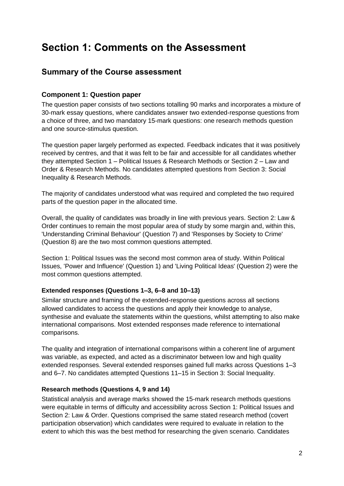## **Section 1: Comments on the Assessment**

### **Summary of the Course assessment**

#### **Component 1: Question paper**

The question paper consists of two sections totalling 90 marks and incorporates a mixture of 30-mark essay questions, where candidates answer two extended-response questions from a choice of three, and two mandatory 15-mark questions: one research methods question and one source-stimulus question.

The question paper largely performed as expected. Feedback indicates that it was positively received by centres, and that it was felt to be fair and accessible for all candidates whether they attempted Section 1 – Political Issues & Research Methods or Section 2 – Law and Order & Research Methods. No candidates attempted questions from Section 3: Social Inequality & Research Methods.

The majority of candidates understood what was required and completed the two required parts of the question paper in the allocated time.

Overall, the quality of candidates was broadly in line with previous years. Section 2: Law & Order continues to remain the most popular area of study by some margin and, within this, 'Understanding Criminal Behaviour' (Question 7) and 'Responses by Society to Crime' (Question 8) are the two most common questions attempted.

Section 1: Political Issues was the second most common area of study. Within Political Issues, 'Power and Influence' (Question 1) and 'Living Political Ideas' (Question 2) were the most common questions attempted.

#### **Extended responses (Questions 1–3, 6–8 and 10–13)**

Similar structure and framing of the extended-response questions across all sections allowed candidates to access the questions and apply their knowledge to analyse, synthesise and evaluate the statements within the questions, whilst attempting to also make international comparisons. Most extended responses made reference to international comparisons.

The quality and integration of international comparisons within a coherent line of argument was variable, as expected, and acted as a discriminator between low and high quality extended responses. Several extended responses gained full marks across Questions 1–3 and 6–7. No candidates attempted Questions 11–15 in Section 3: Social Inequality.

#### **Research methods (Questions 4, 9 and 14)**

Statistical analysis and average marks showed the 15-mark research methods questions were equitable in terms of difficulty and accessibility across Section 1: Political Issues and Section 2: Law & Order. Questions comprised the same stated research method (covert participation observation) which candidates were required to evaluate in relation to the extent to which this was the best method for researching the given scenario. Candidates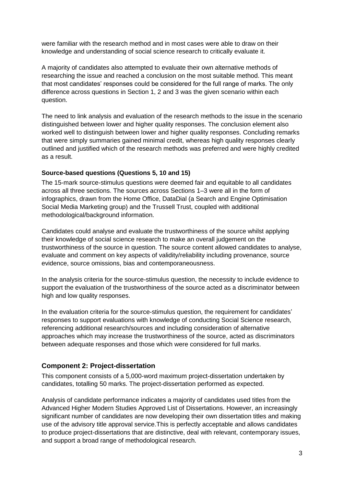were familiar with the research method and in most cases were able to draw on their knowledge and understanding of social science research to critically evaluate it.

A majority of candidates also attempted to evaluate their own alternative methods of researching the issue and reached a conclusion on the most suitable method. This meant that most candidates' responses could be considered for the full range of marks. The only difference across questions in Section 1, 2 and 3 was the given scenario within each question.

The need to link analysis and evaluation of the research methods to the issue in the scenario distinguished between lower and higher quality responses. The conclusion element also worked well to distinguish between lower and higher quality responses. Concluding remarks that were simply summaries gained minimal credit, whereas high quality responses clearly outlined and justified which of the research methods was preferred and were highly credited as a result.

#### **Source-based questions (Questions 5, 10 and 15)**

The 15-mark source-stimulus questions were deemed fair and equitable to all candidates across all three sections. The sources across Sections 1–3 were all in the form of infographics, drawn from the Home Office, DataDial (a Search and Engine Optimisation Social Media Marketing group) and the Trussell Trust, coupled with additional methodological/background information.

Candidates could analyse and evaluate the trustworthiness of the source whilst applying their knowledge of social science research to make an overall judgement on the trustworthiness of the source in question. The source content allowed candidates to analyse, evaluate and comment on key aspects of validity/reliability including provenance, source evidence, source omissions, bias and contemporaneousness.

In the analysis criteria for the source-stimulus question, the necessity to include evidence to support the evaluation of the trustworthiness of the source acted as a discriminator between high and low quality responses.

In the evaluation criteria for the source-stimulus question, the requirement for candidates' responses to support evaluations with knowledge of conducting Social Science research, referencing additional research/sources and including consideration of alternative approaches which may increase the trustworthiness of the source, acted as discriminators between adequate responses and those which were considered for full marks.

#### **Component 2: Project-dissertation**

This component consists of a 5,000-word maximum project-dissertation undertaken by candidates, totalling 50 marks. The project-dissertation performed as expected.

Analysis of candidate performance indicates a majority of candidates used titles from the Advanced Higher Modern Studies Approved List of Dissertations. However, an increasingly significant number of candidates are now developing their own dissertation titles and making use of the advisory title approval service.This is perfectly acceptable and allows candidates to produce project-dissertations that are distinctive, deal with relevant, contemporary issues, and support a broad range of methodological research.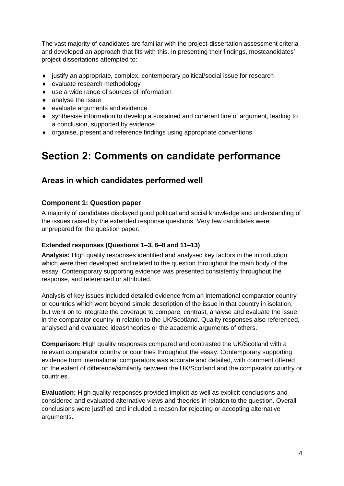The vast majority of candidates are familiar with the project-dissertation assessment criteria and developed an approach that fits with this. In presenting their findings, mostcandidates' project-dissertations attempted to:

- $\bullet$  iustify an appropriate, complex, contemporary political/social issue for research
- ◆ evaluate research methodology
- use a wide range of sources of information
- analyse the issue
- evaluate arguments and evidence
- synthesise information to develop a sustained and coherent line of argument, leading to a conclusion, supported by evidence
- organise, present and reference findings using appropriate conventions

## **Section 2: Comments on candidate performance**

### **Areas in which candidates performed well**

#### **Component 1: Question paper**

A majority of candidates displayed good political and social knowledge and understanding of the issues raised by the extended response questions. Very few candidates were unprepared for the question paper.

#### **Extended responses (Questions 1–3, 6–8 and 11–13)**

**Analysis:** High quality responses identified and analysed key factors in the introduction which were then developed and related to the question throughout the main body of the essay. Contemporary supporting evidence was presented consistently throughout the response, and referenced or attributed.

Analysis of key issues included detailed evidence from an international comparator country or countries which went beyond simple description of the issue in that country in isolation, but went on to integrate the coverage to compare, contrast, analyse and evaluate the issue in the comparator country in relation to the UK/Scotland. Quality responses also referenced, analysed and evaluated ideas/theories or the academic arguments of others.

**Comparison:** High quality responses compared and contrasted the UK/Scotland with a relevant comparator country or countries throughout the essay. Contemporary supporting evidence from international comparators was accurate and detailed, with comment offered on the extent of difference/similarity between the UK/Scotland and the comparator country or countries.

**Evaluation:** High quality responses provided implicit as well as explicit conclusions and considered and evaluated alternative views and theories in relation to the question. Overall conclusions were justified and included a reason for rejecting or accepting alternative arguments.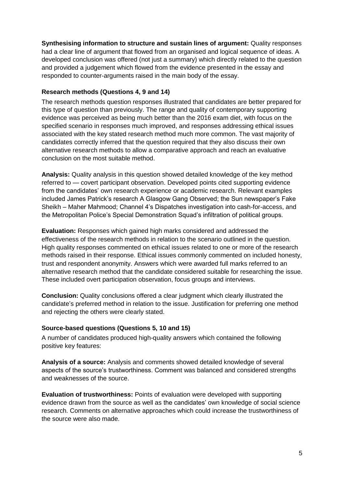**Synthesising information to structure and sustain lines of argument:** Quality responses had a clear line of argument that flowed from an organised and logical sequence of ideas. A developed conclusion was offered (not just a summary) which directly related to the question and provided a judgement which flowed from the evidence presented in the essay and responded to counter-arguments raised in the main body of the essay.

#### **Research methods (Questions 4, 9 and 14)**

The research methods question responses illustrated that candidates are better prepared for this type of question than previously. The range and quality of contemporary supporting evidence was perceived as being much better than the 2016 exam diet, with focus on the specified scenario in responses much improved, and responses addressing ethical issues associated with the key stated research method much more common. The vast majority of candidates correctly inferred that the question required that they also discuss their own alternative research methods to allow a comparative approach and reach an evaluative conclusion on the most suitable method.

**Analysis:** Quality analysis in this question showed detailed knowledge of the key method referred to — covert participant observation. Developed points cited supporting evidence from the candidates' own research experience or academic research. Relevant examples included James Patrick's research A Glasgow Gang Observed; the Sun newspaper's Fake Sheikh – Maher Mahmood; Channel 4's Dispatches investigation into cash-for-access, and the Metropolitan Police's Special Demonstration Squad's infiltration of political groups.

**Evaluation:** Responses which gained high marks considered and addressed the effectiveness of the research methods in relation to the scenario outlined in the question. High quality responses commented on ethical issues related to one or more of the research methods raised in their response. Ethical issues commonly commented on included honesty, trust and respondent anonymity. Answers which were awarded full marks referred to an alternative research method that the candidate considered suitable for researching the issue. These included overt participation observation, focus groups and interviews.

**Conclusion:** Quality conclusions offered a clear judgment which clearly illustrated the candidate's preferred method in relation to the issue. Justification for preferring one method and rejecting the others were clearly stated.

#### **Source-based questions (Questions 5, 10 and 15)**

A number of candidates produced high-quality answers which contained the following positive key features:

**Analysis of a source:** Analysis and comments showed detailed knowledge of several aspects of the source's trustworthiness. Comment was balanced and considered strengths and weaknesses of the source.

**Evaluation of trustworthiness:** Points of evaluation were developed with supporting evidence drawn from the source as well as the candidates' own knowledge of social science research. Comments on alternative approaches which could increase the trustworthiness of the source were also made.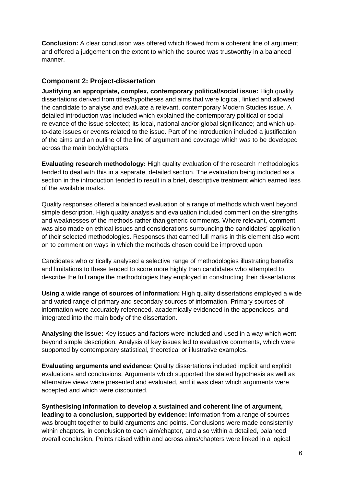**Conclusion:** A clear conclusion was offered which flowed from a coherent line of argument and offered a judgement on the extent to which the source was trustworthy in a balanced manner.

#### **Component 2: Project-dissertation**

**Justifying an appropriate, complex, contemporary political/social issue:** High quality dissertations derived from titles/hypotheses and aims that were logical, linked and allowed the candidate to analyse and evaluate a relevant, contemporary Modern Studies issue. A detailed introduction was included which explained the contemporary political or social relevance of the issue selected; its local, national and/or global significance; and which upto-date issues or events related to the issue. Part of the introduction included a justification of the aims and an outline of the line of argument and coverage which was to be developed across the main body/chapters.

**Evaluating research methodology:** High quality evaluation of the research methodologies tended to deal with this in a separate, detailed section. The evaluation being included as a section in the introduction tended to result in a brief, descriptive treatment which earned less of the available marks.

Quality responses offered a balanced evaluation of a range of methods which went beyond simple description. High quality analysis and evaluation included comment on the strengths and weaknesses of the methods rather than generic comments. Where relevant, comment was also made on ethical issues and considerations surrounding the candidates' application of their selected methodologies. Responses that earned full marks in this element also went on to comment on ways in which the methods chosen could be improved upon.

Candidates who critically analysed a selective range of methodologies illustrating benefits and limitations to these tended to score more highly than candidates who attempted to describe the full range the methodologies they employed in constructing their dissertations.

**Using a wide range of sources of information:** High quality dissertations employed a wide and varied range of primary and secondary sources of information. Primary sources of information were accurately referenced, academically evidenced in the appendices, and integrated into the main body of the dissertation.

**Analysing the issue:** Key issues and factors were included and used in a way which went beyond simple description. Analysis of key issues led to evaluative comments, which were supported by contemporary statistical, theoretical or illustrative examples.

**Evaluating arguments and evidence:** Quality dissertations included implicit and explicit evaluations and conclusions. Arguments which supported the stated hypothesis as well as alternative views were presented and evaluated, and it was clear which arguments were accepted and which were discounted.

**Synthesising information to develop a sustained and coherent line of argument, leading to a conclusion, supported by evidence:** Information from a range of sources was brought together to build arguments and points. Conclusions were made consistently within chapters, in conclusion to each aim/chapter, and also within a detailed, balanced overall conclusion. Points raised within and across aims/chapters were linked in a logical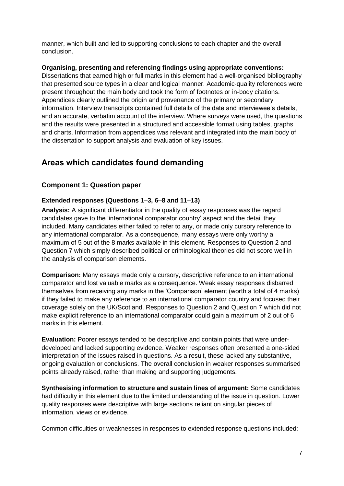manner, which built and led to supporting conclusions to each chapter and the overall conclusion.

**Organising, presenting and referencing findings using appropriate conventions:** 

Dissertations that earned high or full marks in this element had a well-organised bibliography that presented source types in a clear and logical manner. Academic-quality references were present throughout the main body and took the form of footnotes or in-body citations. Appendices clearly outlined the origin and provenance of the primary or secondary information. Interview transcripts contained full details of the date and interviewee's details, and an accurate, verbatim account of the interview. Where surveys were used, the questions and the results were presented in a structured and accessible format using tables, graphs and charts. Information from appendices was relevant and integrated into the main body of the dissertation to support analysis and evaluation of key issues.

## **Areas which candidates found demanding**

#### **Component 1: Question paper**

#### **Extended responses (Questions 1–3, 6–8 and 11–13)**

**Analysis:** A significant differentiator in the quality of essay responses was the regard candidates gave to the 'international comparator country' aspect and the detail they included. Many candidates either failed to refer to any, or made only cursory reference to any international comparator. As a consequence, many essays were only worthy a maximum of 5 out of the 8 marks available in this element. Responses to Question 2 and Question 7 which simply described political or criminological theories did not score well in the analysis of comparison elements.

**Comparison:** Many essays made only a cursory, descriptive reference to an international comparator and lost valuable marks as a consequence. Weak essay responses disbarred themselves from receiving any marks in the 'Comparison' element (worth a total of 4 marks) if they failed to make any reference to an international comparator country and focused their coverage solely on the UK/Scotland. Responses to Question 2 and Question 7 which did not make explicit reference to an international comparator could gain a maximum of 2 out of 6 marks in this element.

**Evaluation:** Poorer essays tended to be descriptive and contain points that were underdeveloped and lacked supporting evidence. Weaker responses often presented a one-sided interpretation of the issues raised in questions. As a result, these lacked any substantive, ongoing evaluation or conclusions. The overall conclusion in weaker responses summarised points already raised, rather than making and supporting judgements.

**Synthesising information to structure and sustain lines of argument:** Some candidates had difficulty in this element due to the limited understanding of the issue in question. Lower quality responses were descriptive with large sections reliant on singular pieces of information, views or evidence.

Common difficulties or weaknesses in responses to extended response questions included: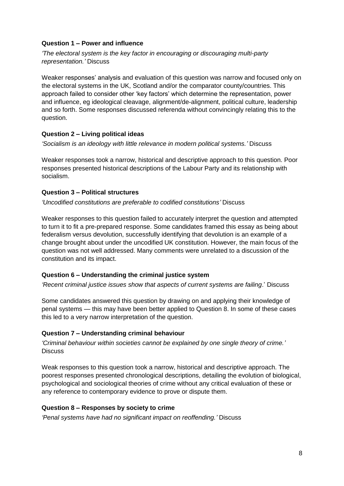#### **Question 1 – Power and influence**

*'The electoral system is the key factor in encouraging or discouraging multi-party representation.'* Discuss

Weaker responses' analysis and evaluation of this question was narrow and focused only on the electoral systems in the UK, Scotland and/or the comparator county/countries. This approach failed to consider other 'key factors' which determine the representation, power and influence, eg ideological cleavage, alignment/de-alignment, political culture, leadership and so forth. Some responses discussed referenda without convincingly relating this to the question.

#### **Question 2 – Living political ideas**

*'Socialism is an ideology with little relevance in modern political systems.'* Discuss

Weaker responses took a narrow, historical and descriptive approach to this question. Poor responses presented historical descriptions of the Labour Party and its relationship with socialism.

#### **Question 3 – Political structures**

*'Uncodified constitutions are preferable to codified constitutions'* Discuss

Weaker responses to this question failed to accurately interpret the question and attempted to turn it to fit a pre-prepared response. Some candidates framed this essay as being about federalism versus devolution, successfully identifying that devolution is an example of a change brought about under the uncodified UK constitution. However, the main focus of the question was not well addressed. Many comments were unrelated to a discussion of the constitution and its impact.

#### **Question 6 – Understanding the criminal justice system**

*'Recent criminal justice issues show that aspects of current systems are failing*.' Discuss

Some candidates answered this question by drawing on and applying their knowledge of penal systems — this may have been better applied to Question 8. In some of these cases this led to a very narrow interpretation of the question.

#### **Question 7 – Understanding criminal behaviour**

*'Criminal behaviour within societies cannot be explained by one single theory of crime.'* **Discuss** 

Weak responses to this question took a narrow, historical and descriptive approach. The poorest responses presented chronological descriptions, detailing the evolution of biological, psychological and sociological theories of crime without any critical evaluation of these or any reference to contemporary evidence to prove or dispute them.

#### **Question 8 – Responses by society to crime**

*'Penal systems have had no significant impact on reoffending.'* Discuss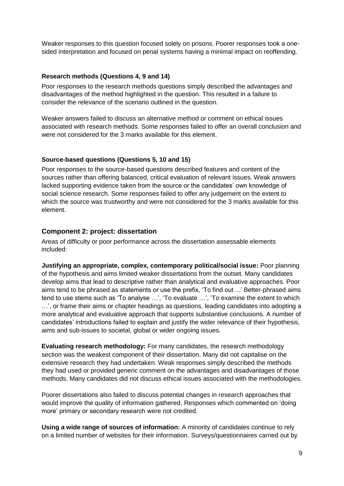Weaker responses to this question focused solely on prisons. Poorer responses took a onesided interpretation and focused on penal systems having a minimal impact on reoffending.

#### **Research methods (Questions 4, 9 and 14)**

Poor responses to the research methods questions simply described the advantages and disadvantages of the method highlighted in the question. This resulted in a failure to consider the relevance of the scenario outlined in the question.

Weaker answers failed to discuss an alternative method or comment on ethical issues associated with research methods. Some responses failed to offer an overall conclusion and were not considered for the 3 marks available for this element.

#### **Source-based questions (Questions 5, 10 and 15)**

Poor responses to the source-based questions described features and content of the sources rather than offering balanced, critical evaluation of relevant issues. Weak answers lacked supporting evidence taken from the source or the candidates' own knowledge of social science research. Some responses failed to offer any judgement on the extent to which the source was trustworthy and were not considered for the 3 marks available for this element.

#### **Component 2: project: dissertation**

Areas of difficulty or poor performance across the dissertation assessable elements included:

**Justifying an appropriate, complex, contemporary political/social issue:** Poor planning of the hypothesis and aims limited weaker dissertations from the outset. Many candidates develop aims that lead to descriptive rather than analytical and evaluative approaches. Poor aims tend to be phrased as statements or use the prefix, 'To find out ...' Better-phrased aims tend to use stems such as 'To analyse …', 'To evaluate …', 'To examine the extent to which …', or frame their aims or chapter headings as questions, leading candidates into adopting a more analytical and evaluative approach that supports substantive conclusions. A number of candidates' introductions failed to explain and justify the wider relevance of their hypothesis, aims and sub-issues to societal, global or wider ongoing issues.

**Evaluating research methodology:** For many candidates, the research methodology section was the weakest component of their dissertation. Many did not capitalise on the extensive research they had undertaken. Weak responses simply described the methods they had used or provided generic comment on the advantages and disadvantages of those methods. Many candidates did not discuss ethical issues associated with the methodologies.

Poorer dissertations also failed to discuss potential changes in research approaches that would improve the quality of information gathered. Responses which commented on 'doing more' primary or secondary research were not credited.

**Using a wide range of sources of information:** A minority of candidates continue to rely on a limited number of websites for their information. Surveys/questionnaires carried out by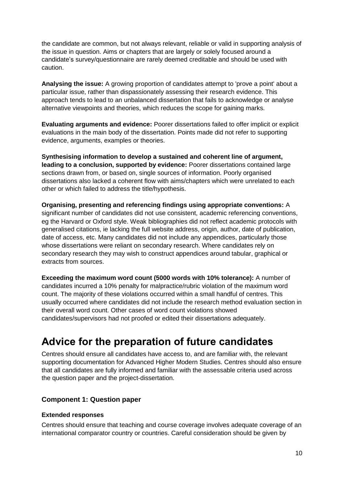the candidate are common, but not always relevant, reliable or valid in supporting analysis of the issue in question. Aims or chapters that are largely or solely focused around a candidate's survey/questionnaire are rarely deemed creditable and should be used with caution.

**Analysing the issue:** A growing proportion of candidates attempt to 'prove a point' about a particular issue, rather than dispassionately assessing their research evidence. This approach tends to lead to an unbalanced dissertation that fails to acknowledge or analyse alternative viewpoints and theories, which reduces the scope for gaining marks.

**Evaluating arguments and evidence:** Poorer dissertations failed to offer implicit or explicit evaluations in the main body of the dissertation. Points made did not refer to supporting evidence, arguments, examples or theories.

**Synthesising information to develop a sustained and coherent line of argument, leading to a conclusion, supported by evidence:** Poorer dissertations contained large sections drawn from, or based on, single sources of information. Poorly organised dissertations also lacked a coherent flow with aims/chapters which were unrelated to each other or which failed to address the title/hypothesis.

**Organising, presenting and referencing findings using appropriate conventions:** A significant number of candidates did not use consistent, academic referencing conventions, eg the Harvard or Oxford style. Weak bibliographies did not reflect academic protocols with generalised citations, ie lacking the full website address, origin, author, date of publication, date of access, etc. Many candidates did not include any appendices, particularly those whose dissertations were reliant on secondary research. Where candidates rely on secondary research they may wish to construct appendices around tabular, graphical or extracts from sources.

**Exceeding the maximum word count (5000 words with 10% tolerance):** A number of candidates incurred a 10% penalty for malpractice/rubric violation of the maximum word count. The majority of these violations occurred within a small handful of centres. This usually occurred where candidates did not include the research method evaluation section in their overall word count. Other cases of word count violations showed candidates/supervisors had not proofed or edited their dissertations adequately.

## **Advice for the preparation of future candidates**

Centres should ensure all candidates have access to, and are familiar with, the relevant supporting documentation for Advanced Higher Modern Studies. Centres should also ensure that all candidates are fully informed and familiar with the assessable criteria used across the question paper and the project-dissertation.

#### **Component 1: Question paper**

#### **Extended responses**

Centres should ensure that teaching and course coverage involves adequate coverage of an international comparator country or countries. Careful consideration should be given by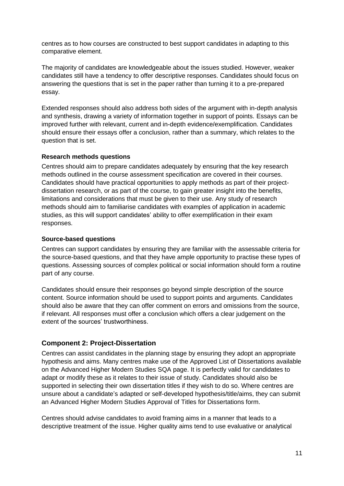centres as to how courses are constructed to best support candidates in adapting to this comparative element.

The majority of candidates are knowledgeable about the issues studied. However, weaker candidates still have a tendency to offer descriptive responses. Candidates should focus on answering the questions that is set in the paper rather than turning it to a pre-prepared essay.

Extended responses should also address both sides of the argument with in-depth analysis and synthesis, drawing a variety of information together in support of points. Essays can be improved further with relevant, current and in-depth evidence/exemplification. Candidates should ensure their essays offer a conclusion, rather than a summary, which relates to the question that is set.

#### **Research methods questions**

Centres should aim to prepare candidates adequately by ensuring that the key research methods outlined in the course assessment specification are covered in their courses. Candidates should have practical opportunities to apply methods as part of their projectdissertation research, or as part of the course, to gain greater insight into the benefits, limitations and considerations that must be given to their use. Any study of research methods should aim to familiarise candidates with examples of application in academic studies, as this will support candidates' ability to offer exemplification in their exam responses.

#### **Source-based questions**

Centres can support candidates by ensuring they are familiar with the assessable criteria for the source-based questions, and that they have ample opportunity to practise these types of questions. Assessing sources of complex political or social information should form a routine part of any course.

Candidates should ensure their responses go beyond simple description of the source content. Source information should be used to support points and arguments. Candidates should also be aware that they can offer comment on errors and omissions from the source, if relevant. All responses must offer a conclusion which offers a clear judgement on the extent of the sources' trustworthiness.

#### **Component 2: Project-Dissertation**

Centres can assist candidates in the planning stage by ensuring they adopt an appropriate hypothesis and aims. Many centres make use of the Approved List of Dissertations available on the Advanced Higher Modern Studies SQA page. It is perfectly valid for candidates to adapt or modify these as it relates to their issue of study. Candidates should also be supported in selecting their own dissertation titles if they wish to do so. Where centres are unsure about a candidate's adapted or self-developed hypothesis/title/aims, they can submit an Advanced Higher Modern Studies Approval of Titles for Dissertations form.

Centres should advise candidates to avoid framing aims in a manner that leads to a descriptive treatment of the issue. Higher quality aims tend to use evaluative or analytical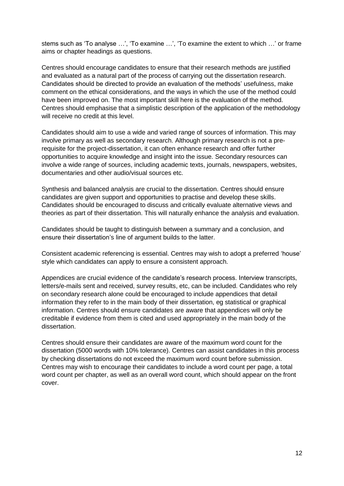stems such as 'To analyse …', 'To examine …', 'To examine the extent to which …' or frame aims or chapter headings as questions.

Centres should encourage candidates to ensure that their research methods are justified and evaluated as a natural part of the process of carrying out the dissertation research. Candidates should be directed to provide an evaluation of the methods' usefulness, make comment on the ethical considerations, and the ways in which the use of the method could have been improved on. The most important skill here is the evaluation of the method. Centres should emphasise that a simplistic description of the application of the methodology will receive no credit at this level.

Candidates should aim to use a wide and varied range of sources of information. This may involve primary as well as secondary research. Although primary research is not a prerequisite for the project-dissertation, it can often enhance research and offer further opportunities to acquire knowledge and insight into the issue. Secondary resources can involve a wide range of sources, including academic texts, journals, newspapers, websites, documentaries and other audio/visual sources etc.

Synthesis and balanced analysis are crucial to the dissertation. Centres should ensure candidates are given support and opportunities to practise and develop these skills. Candidates should be encouraged to discuss and critically evaluate alternative views and theories as part of their dissertation. This will naturally enhance the analysis and evaluation.

Candidates should be taught to distinguish between a summary and a conclusion, and ensure their dissertation's line of argument builds to the latter.

Consistent academic referencing is essential. Centres may wish to adopt a preferred 'house' style which candidates can apply to ensure a consistent approach.

Appendices are crucial evidence of the candidate's research process. Interview transcripts, letters/e-mails sent and received, survey results, etc, can be included. Candidates who rely on secondary research alone could be encouraged to include appendices that detail information they refer to in the main body of their dissertation, eg statistical or graphical information. Centres should ensure candidates are aware that appendices will only be creditable if evidence from them is cited and used appropriately in the main body of the dissertation.

Centres should ensure their candidates are aware of the maximum word count for the dissertation (5000 words with 10% tolerance). Centres can assist candidates in this process by checking dissertations do not exceed the maximum word count before submission. Centres may wish to encourage their candidates to include a word count per page, a total word count per chapter, as well as an overall word count, which should appear on the front cover.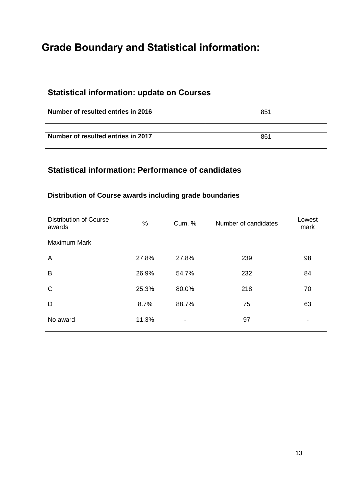## **Grade Boundary and Statistical information:**

## **Statistical information: update on Courses**

| Number of resulted entries in 2016 | 851 |
|------------------------------------|-----|
|                                    |     |
| Number of resulted entries in 2017 | 861 |

## **Statistical information: Performance of candidates**

## **Distribution of Course awards including grade boundaries**

| <b>Distribution of Course</b><br>awards | %     | Cum. % | Number of candidates | Lowest<br>mark |
|-----------------------------------------|-------|--------|----------------------|----------------|
| Maximum Mark -                          |       |        |                      |                |
| A                                       | 27.8% | 27.8%  | 239                  | 98             |
| B                                       | 26.9% | 54.7%  | 232                  | 84             |
| C                                       | 25.3% | 80.0%  | 218                  | 70             |
| D                                       | 8.7%  | 88.7%  | 75                   | 63             |
| No award                                | 11.3% | -      | 97                   | ۰              |
|                                         |       |        |                      |                |